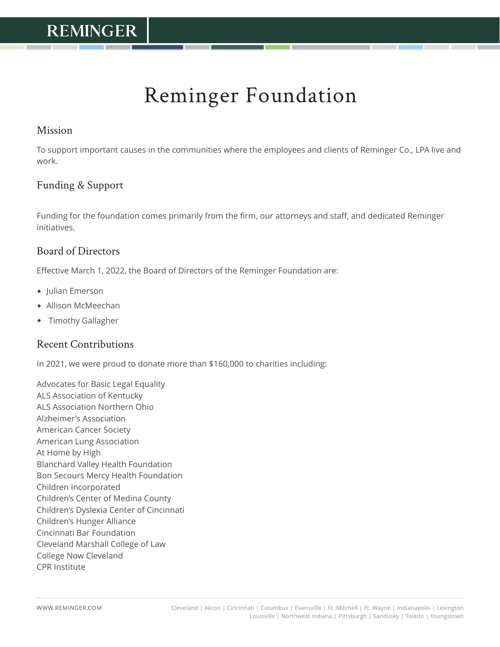# Reminger Foundation

#### Mission

To support important causes in the communities where the employees and clients of Reminger Co., LPA live and work.

#### Funding & Support

Funding for the foundation comes primarily from the firm, our attorneys and staff, and dedicated Reminger initiatives.

#### Board of Directors

Effective March 1, 2022, the Board of Directors of the Reminger Foundation are:

- Julian Emerson
- Allison McMeechan
- Timothy Gallagher

#### Recent Contributions

In 2021, we were proud to donate more than \$160,000 to charities including:

Advocates for Basic Legal Equality ALS Association of Kentucky ALS Association Northern Ohio Alzheimer's Association American Cancer Society American Lung Association At Home by High Blanchard Valley Health Foundation Bon Secours Mercy Health Foundation Children Incorporated Children's Center of Medina County Children's Dyslexia Center of Cincinnati Children's Hunger Alliance Cincinnati Bar Foundation Cleveland Marshall College of Law College Now Cleveland CPR Institute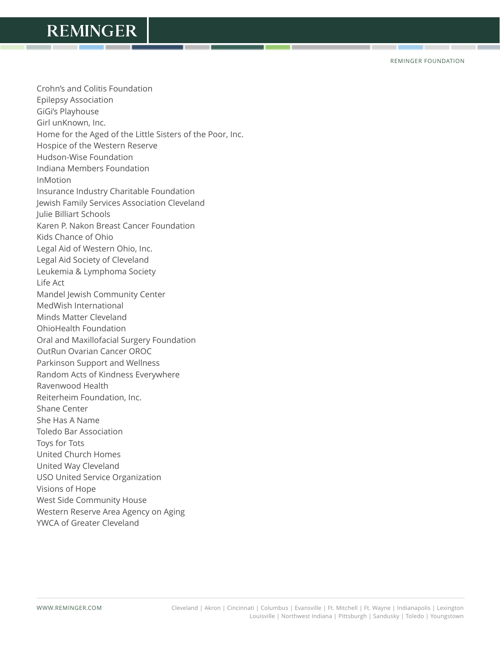REMINGER FOUNDATION

Crohn's and Colitis Foundation Epilepsy Association GiGi's Playhouse Girl unKnown, Inc. Home for the Aged of the Little Sisters of the Poor, Inc. Hospice of the Western Reserve Hudson-Wise Foundation Indiana Members Foundation InMotion Insurance Industry Charitable Foundation Jewish Family Services Association Cleveland Julie Billiart Schools Karen P. Nakon Breast Cancer Foundation Kids Chance of Ohio Legal Aid of Western Ohio, Inc. Legal Aid Society of Cleveland Leukemia & Lymphoma Society Life Act Mandel Jewish Community Center MedWish International Minds Matter Cleveland OhioHealth Foundation Oral and Maxillofacial Surgery Foundation OutRun Ovarian Cancer OROC Parkinson Support and Wellness Random Acts of Kindness Everywhere Ravenwood Health Reiterheim Foundation, Inc. Shane Center She Has A Name Toledo Bar Association Toys for Tots United Church Homes United Way Cleveland USO United Service Organization Visions of Hope West Side Community House Western Reserve Area Agency on Aging YWCA of Greater Cleveland